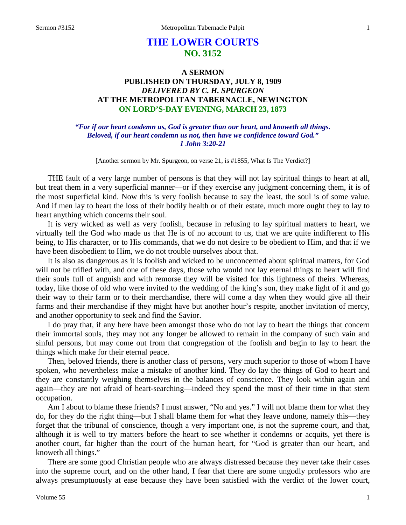# **THE LOWER COURTS NO. 3152**

## **A SERMON PUBLISHED ON THURSDAY, JULY 8, 1909** *DELIVERED BY C. H. SPURGEON* **AT THE METROPOLITAN TABERNACLE, NEWINGTON ON LORD'S-DAY EVENING, MARCH 23, 1873**

## *"For if our heart condemn us, God is greater than our heart, and knoweth all things. Beloved, if our heart condemn us not, then have we confidence toward God." 1 John 3:20-21*

[Another sermon by Mr. Spurgeon, on verse 21, is #1855, What Is The Verdict?]

THE fault of a very large number of persons is that they will not lay spiritual things to heart at all, but treat them in a very superficial manner—or if they exercise any judgment concerning them, it is of the most superficial kind. Now this is very foolish because to say the least, the soul is of some value. And if men lay to heart the loss of their bodily health or of their estate, much more ought they to lay to heart anything which concerns their soul.

It is very wicked as well as very foolish, because in refusing to lay spiritual matters to heart, we virtually tell the God who made us that He is of no account to us, that we are quite indifferent to His being, to His character, or to His commands, that we do not desire to be obedient to Him, and that if we have been disobedient to Him, we do not trouble ourselves about that.

It is also as dangerous as it is foolish and wicked to be unconcerned about spiritual matters, for God will not be trifled with, and one of these days, those who would not lay eternal things to heart will find their souls full of anguish and with remorse they will be visited for this lightness of theirs. Whereas, today, like those of old who were invited to the wedding of the king's son, they make light of it and go their way to their farm or to their merchandise, there will come a day when they would give all their farms and their merchandise if they might have but another hour's respite, another invitation of mercy, and another opportunity to seek and find the Savior.

I do pray that, if any here have been amongst those who do not lay to heart the things that concern their immortal souls, they may not any longer be allowed to remain in the company of such vain and sinful persons, but may come out from that congregation of the foolish and begin to lay to heart the things which make for their eternal peace.

Then, beloved friends, there is another class of persons, very much superior to those of whom I have spoken, who nevertheless make a mistake of another kind. They do lay the things of God to heart and they are constantly weighing themselves in the balances of conscience. They look within again and again—they are not afraid of heart-searching—indeed they spend the most of their time in that stern occupation.

Am I about to blame these friends? I must answer, "No and yes." I will not blame them for what they do, for they do the right thing—but I shall blame them for what they leave undone, namely this—they forget that the tribunal of conscience, though a very important one, is not the supreme court, and that, although it is well to try matters before the heart to see whether it condemns or acquits, yet there is another court, far higher than the court of the human heart, for "God is greater than our heart, and knoweth all things."

There are some good Christian people who are always distressed because they never take their cases into the supreme court, and on the other hand, I fear that there are some ungodly professors who are always presumptuously at ease because they have been satisfied with the verdict of the lower court,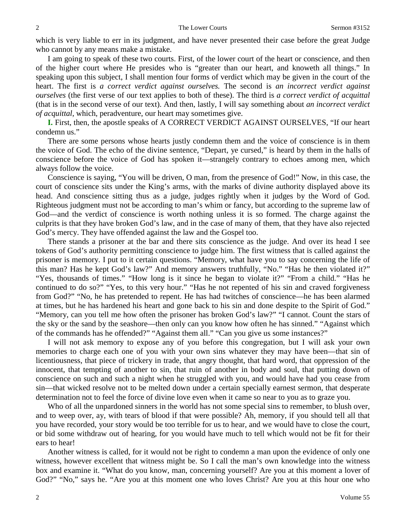which is very liable to err in its judgment, and have never presented their case before the great Judge who cannot by any means make a mistake.

I am going to speak of these two courts. First, of the lower court of the heart or conscience, and then of the higher court where He presides who is "greater than our heart, and knoweth all things." In speaking upon this subject, I shall mention four forms of verdict which may be given in the court of the heart. The first is *a correct verdict against ourselves.* The second is *an incorrect verdict against ourselves* (the first verse of our text applies to both of these). The third is *a correct verdict of acquittal* (that is in the second verse of our text). And then, lastly, I will say something about *an incorrect verdict of acquittal*, which, peradventure, our heart may sometimes give.

**I.** First, then, the apostle speaks of A CORRECT VERDICT AGAINST OURSELVES, "If our heart condemn us."

There are some persons whose hearts justly condemn them and the voice of conscience is in them the voice of God. The echo of the divine sentence, "Depart, ye cursed," is heard by them in the halls of conscience before the voice of God has spoken it—strangely contrary to echoes among men, which always follow the voice.

Conscience is saying, "You will be driven, O man, from the presence of God!" Now, in this case, the court of conscience sits under the King's arms, with the marks of divine authority displayed above its head. And conscience sitting thus as a judge, judges rightly when it judges by the Word of God. Righteous judgment must not be according to man's whim or fancy, but according to the supreme law of God—and the verdict of conscience is worth nothing unless it is so formed. The charge against the culprits is that they have broken God's law, and in the case of many of them, that they have also rejected God's mercy. They have offended against the law and the Gospel too.

There stands a prisoner at the bar and there sits conscience as the judge. And over its head I see tokens of God's authority permitting conscience to judge him. The first witness that is called against the prisoner is memory. I put to it certain questions. "Memory, what have you to say concerning the life of this man? Has he kept God's law?" And memory answers truthfully, "No." "Has he then violated it?" "Yes, thousands of times." "How long is it since he began to violate it?" "From a child." "Has he continued to do so?" "Yes, to this very hour." "Has he not repented of his sin and craved forgiveness from God?" "No, he has pretended to repent. He has had twitches of conscience—he has been alarmed at times, but he has hardened his heart and gone back to his sin and done despite to the Spirit of God." "Memory, can you tell me how often the prisoner has broken God's law?" "I cannot. Count the stars of the sky or the sand by the seashore—then only can you know how often he has sinned." "Against which of the commands has he offended?" "Against them all." "Can you give us some instances?"

I will not ask memory to expose any of you before this congregation, but I will ask your own memories to charge each one of you with your own sins whatever they may have been—that sin of licentiousness, that piece of trickery in trade, that angry thought, that hard word, that oppression of the innocent, that tempting of another to sin, that ruin of another in body and soul, that putting down of conscience on such and such a night when he struggled with you, and would have had you cease from sin—that wicked resolve not to be melted down under a certain specially earnest sermon, that desperate determination not to feel the force of divine love even when it came so near to you as to graze you.

Who of all the unpardoned sinners in the world has not some special sins to remember, to blush over, and to weep over, ay, with tears of blood if that were possible? Ah, memory, if you should tell all that you have recorded, your story would be too terrible for us to hear, and we would have to close the court, or bid some withdraw out of hearing, for you would have much to tell which would not be fit for their ears to hear!

Another witness is called, for it would not be right to condemn a man upon the evidence of only one witness, however excellent that witness might be. So I call the man's own knowledge into the witness box and examine it. "What do you know, man, concerning yourself? Are you at this moment a lover of God?" "No," says he. "Are you at this moment one who loves Christ? Are you at this hour one who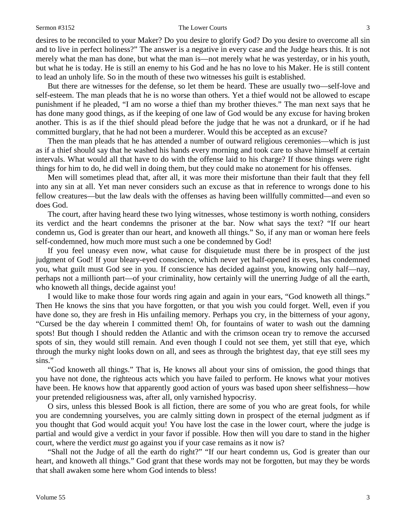#### Sermon #3152 The Lower Courts 3

desires to be reconciled to your Maker? Do you desire to glorify God? Do you desire to overcome all sin and to live in perfect holiness?" The answer is a negative in every case and the Judge hears this. It is not merely what the man has done, but what the man is—not merely what he was yesterday, or in his youth, but what he is today. He is still an enemy to his God and he has no love to his Maker. He is still content to lead an unholy life. So in the mouth of these two witnesses his guilt is established.

But there are witnesses for the defense, so let them be heard. These are usually two—self-love and self-esteem. The man pleads that he is no worse than others. Yet a thief would not be allowed to escape punishment if he pleaded, "I am no worse a thief than my brother thieves." The man next says that he has done many good things, as if the keeping of one law of God would be any excuse for having broken another. This is as if the thief should plead before the judge that he was not a drunkard, or if he had committed burglary, that he had not been a murderer. Would this be accepted as an excuse?

Then the man pleads that he has attended a number of outward religious ceremonies—which is just as if a thief should say that he washed his hands every morning and took care to shave himself at certain intervals. What would all that have to do with the offense laid to his charge? If those things were right things for him to do, he did well in doing them, but they could make no atonement for his offenses.

Men will sometimes plead that, after all, it was more their misfortune than their fault that they fell into any sin at all. Yet man never considers such an excuse as that in reference to wrongs done to his fellow creatures—but the law deals with the offenses as having been willfully committed—and even so does God.

The court, after having heard these two lying witnesses, whose testimony is worth nothing, considers its verdict and the heart condemns the prisoner at the bar. Now what says the text? "If our heart condemn us, God is greater than our heart, and knoweth all things." So, if any man or woman here feels self-condemned, how much more must such a one be condemned by God!

If you feel uneasy even now, what cause for disquietude must there be in prospect of the just judgment of God! If your bleary-eyed conscience, which never yet half-opened its eyes, has condemned you, what guilt must God see in you. If conscience has decided against you, knowing only half—nay, perhaps not a millionth part—of your criminality, how certainly will the unerring Judge of all the earth, who knoweth all things, decide against you!

I would like to make those four words ring again and again in your ears, "God knoweth all things." Then He knows the sins that you have forgotten, or that you wish you could forget. Well, even if you have done so, they are fresh in His unfailing memory. Perhaps you cry, in the bitterness of your agony, "Cursed be the day wherein I committed them! Oh, for fountains of water to wash out the damning spots! But though I should redden the Atlantic and with the crimson ocean try to remove the accursed spots of sin, they would still remain. And even though I could not see them, yet still that eye, which through the murky night looks down on all, and sees as through the brightest day, that eye still sees my sins."

"God knoweth all things." That is, He knows all about your sins of omission, the good things that you have not done, the righteous acts which you have failed to perform. He knows what your motives have been. He knows how that apparently good action of yours was based upon sheer selfishness—how your pretended religiousness was, after all, only varnished hypocrisy.

O sirs, unless this blessed Book is all fiction, there are some of you who are great fools, for while you are condemning yourselves, you are calmly sitting down in prospect of the eternal judgment as if you thought that God would acquit you! You have lost the case in the lower court, where the judge is partial and would give a verdict in your favor if possible. How then will you dare to stand in the higher court, where the verdict *must* go against you if your case remains as it now is?

"Shall not the Judge of all the earth do right?" "If our heart condemn us, God is greater than our heart, and knoweth all things." God grant that these words may not be forgotten, but may they be words that shall awaken some here whom God intends to bless!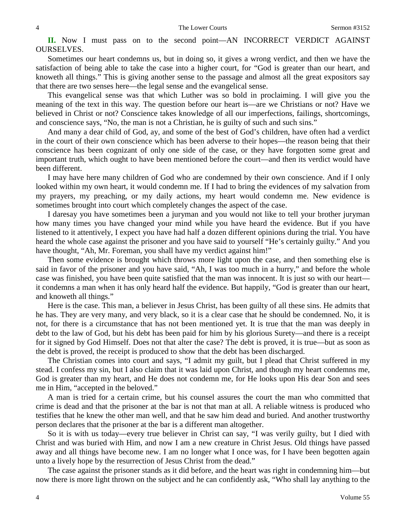**II.** Now I must pass on to the second point—AN INCORRECT VERDICT AGAINST OURSELVES.

Sometimes our heart condemns us, but in doing so, it gives a wrong verdict, and then we have the satisfaction of being able to take the case into a higher court, for "God is greater than our heart, and knoweth all things." This is giving another sense to the passage and almost all the great expositors say that there are two senses here—the legal sense and the evangelical sense.

This evangelical sense was that which Luther was so bold in proclaiming. I will give you the meaning of the text in this way. The question before our heart is—are we Christians or not? Have we believed in Christ or not? Conscience takes knowledge of all our imperfections, failings, shortcomings, and conscience says, "No, the man is not a Christian, he is guilty of such and such sins."

And many a dear child of God, ay, and some of the best of God's children, have often had a verdict in the court of their own conscience which has been adverse to their hopes—the reason being that their conscience has been cognizant of only one side of the case, or they have forgotten some great and important truth, which ought to have been mentioned before the court—and then its verdict would have been different.

I may have here many children of God who are condemned by their own conscience. And if I only looked within my own heart, it would condemn me. If I had to bring the evidences of my salvation from my prayers, my preaching, or my daily actions, my heart would condemn me. New evidence is sometimes brought into court which completely changes the aspect of the case.

I daresay you have sometimes been a juryman and you would not like to tell your brother juryman how many times you have changed your mind while you have heard the evidence. But if you have listened to it attentively, I expect you have had half a dozen different opinions during the trial. You have heard the whole case against the prisoner and you have said to yourself "He's certainly guilty." And you have thought, "Ah, Mr. Foreman, you shall have my verdict against him!"

Then some evidence is brought which throws more light upon the case, and then something else is said in favor of the prisoner and you have said, "Ah, I was too much in a hurry," and before the whole case was finished, you have been quite satisfied that the man was innocent. It is just so with our heart it condemns a man when it has only heard half the evidence. But happily, "God is greater than our heart, and knoweth all things."

Here is the case. This man, a believer in Jesus Christ, has been guilty of all these sins. He admits that he has. They are very many, and very black, so it is a clear case that he should be condemned. No, it is not, for there is a circumstance that has not been mentioned yet. It is true that the man was deeply in debt to the law of God, but his debt has been paid for him by his glorious Surety—and there is a receipt for it signed by God Himself. Does not that alter the case? The debt is proved, it is true—but as soon as the debt is proved, the receipt is produced to show that the debt has been discharged.

The Christian comes into court and says, "I admit my guilt, but I plead that Christ suffered in my stead. I confess my sin, but I also claim that it was laid upon Christ, and though my heart condemns me, God is greater than my heart, and He does not condemn me, for He looks upon His dear Son and sees me in Him, "accepted in the beloved."

A man is tried for a certain crime, but his counsel assures the court the man who committed that crime is dead and that the prisoner at the bar is not that man at all. A reliable witness is produced who testifies that he knew the other man well, and that he saw him dead and buried. And another trustworthy person declares that the prisoner at the bar is a different man altogether.

So it is with us today—every true believer in Christ can say, "I was verily guilty, but I died with Christ and was buried with Him, and now I am a new creature in Christ Jesus. Old things have passed away and all things have become new. I am no longer what I once was, for I have been begotten again unto a lively hope by the resurrection of Jesus Christ from the dead."

The case against the prisoner stands as it did before, and the heart was right in condemning him—but now there is more light thrown on the subject and he can confidently ask, "Who shall lay anything to the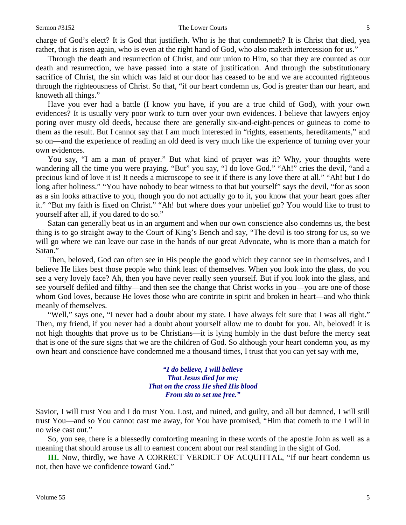charge of God's elect? It is God that justifieth. Who is he that condemneth? It is Christ that died, yea rather, that is risen again, who is even at the right hand of God, who also maketh intercession for us."

Through the death and resurrection of Christ, and our union to Him, so that they are counted as our death and resurrection, we have passed into a state of justification. And through the substitutionary sacrifice of Christ, the sin which was laid at our door has ceased to be and we are accounted righteous through the righteousness of Christ. So that, "if our heart condemn us, God is greater than our heart, and knoweth all things."

Have you ever had a battle (I know you have, if you are a true child of God), with your own evidences? It is usually very poor work to turn over your own evidences. I believe that lawyers enjoy poring over musty old deeds, because there are generally six-and-eight-pences or guineas to come to them as the result. But I cannot say that I am much interested in "rights, easements, hereditaments," and so on—and the experience of reading an old deed is very much like the experience of turning over your own evidences.

You say, "I am a man of prayer." But what kind of prayer was it? Why, your thoughts were wandering all the time you were praying. "But" you say, "I do love God." "Ah!" cries the devil, "and a precious kind of love it is! It needs a microscope to see it if there is any love there at all." "Ah! but I do long after holiness." "You have nobody to bear witness to that but yourself" says the devil, "for as soon as a sin looks attractive to you, though you do not actually go to it, you know that your heart goes after it." "But my faith is fixed on Christ." "Ah! but where does your unbelief go? You would like to trust to yourself after all, if you dared to do so."

Satan can generally beat us in an argument and when our own conscience also condemns us, the best thing is to go straight away to the Court of King's Bench and say, "The devil is too strong for us, so we will go where we can leave our case in the hands of our great Advocate, who is more than a match for Satan."

Then, beloved, God can often see in His people the good which they cannot see in themselves, and I believe He likes best those people who think least of themselves. When you look into the glass, do you see a very lovely face? Ah, then you have never really seen yourself. But if you look into the glass, and see yourself defiled and filthy—and then see the change that Christ works in you—you are one of those whom God loves, because He loves those who are contrite in spirit and broken in heart—and who think meanly of themselves.

"Well," says one, "I never had a doubt about my state. I have always felt sure that I was all right." Then, my friend, if you never had a doubt about yourself allow me to doubt for you. Ah, beloved! it is not high thoughts that prove us to be Christians—it is lying humbly in the dust before the mercy seat that is one of the sure signs that we are the children of God. So although your heart condemn you, as my own heart and conscience have condemned me a thousand times, I trust that you can yet say with me,

> *"I do believe, I will believe That Jesus died for me; That on the cross He shed His blood From sin to set me free."*

Savior, I will trust You and I do trust You. Lost, and ruined, and guilty, and all but damned, I will still trust You—and so You cannot cast me away, for You have promised, "Him that cometh to me I will in no wise cast out."

So, you see, there is a blessedly comforting meaning in these words of the apostle John as well as a meaning that should arouse us all to earnest concern about our real standing in the sight of God.

**III.** Now, thirdly, we have A CORRECT VERDICT OF ACQUITTAL, "If our heart condemn us not, then have we confidence toward God."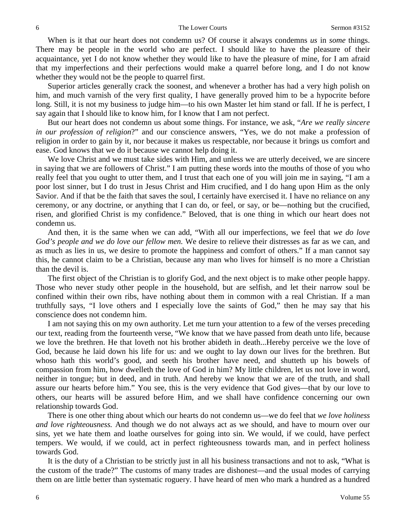When is it that our heart does not condemn us? Of course it always condemns *us* in *some* things. There may be people in the world who are perfect. I should like to have the pleasure of their acquaintance, yet I do not know whether they would like to have the pleasure of mine, for I am afraid that my imperfections and their perfections would make a quarrel before long, and I do not know whether they would not be the people to quarrel first.

Superior articles generally crack the soonest, and whenever a brother has had a very high polish on him, and much varnish of the very first quality, I have generally proved him to be a hypocrite before long. Still, it is not my business to judge him—to his own Master let him stand or fall. If he is perfect, I say again that I should like to know him, for I know that I am not perfect.

But our heart does not condemn us about some things. For instance, we ask, "*Are we really sincere in our profession of religion*?" and our conscience answers, "Yes, we do not make a profession of religion in order to gain by it, nor because it makes us respectable, nor because it brings us comfort and ease. God knows that we do it because we cannot help doing it.

We love Christ and we must take sides with Him, and unless we are utterly deceived, we are sincere in saying that we are followers of Christ." I am putting these words into the mouths of those of you who really feel that you ought to utter them, and I trust that each one of you will join me in saying, "I am a poor lost sinner, but I do trust in Jesus Christ and Him crucified, and I do hang upon Him as the only Savior. And if that be the faith that saves the soul, I certainly have exercised it. I have no reliance on any ceremony, or any doctrine, or anything that I can do, or feel, or say, or be—nothing but the crucified, risen, and glorified Christ is my confidence." Beloved, that is one thing in which our heart does not condemn us.

And then, it is the same when we can add, "With all our imperfections, we feel that *we do love God's people and we do love our fellow men.* We desire to relieve their distresses as far as we can, and as much as lies in us, we desire to promote the happiness and comfort of others." If a man cannot say this, he cannot claim to be a Christian, because any man who lives for himself is no more a Christian than the devil is.

The first object of the Christian is to glorify God, and the next object is to make other people happy. Those who never study other people in the household, but are selfish, and let their narrow soul be confined within their own ribs, have nothing about them in common with a real Christian. If a man truthfully says, "I love others and I especially love the saints of God," then he may say that his conscience does not condemn him.

I am not saying this on my own authority. Let me turn your attention to a few of the verses preceding our text, reading from the fourteenth verse, "We know that we have passed from death unto life, because we love the brethren. He that loveth not his brother abideth in death...Hereby perceive we the love of God, because he laid down his life for us: and we ought to lay down our lives for the brethren. But whoso hath this world's good, and seeth his brother have need, and shutteth up his bowels of compassion from him, how dwelleth the love of God in him? My little children, let us not love in word, neither in tongue; but in deed, and in truth. And hereby we know that we are of the truth, and shall assure our hearts before him." You see, this is the very evidence that God gives—that by our love to others, our hearts will be assured before Him, and we shall have confidence concerning our own relationship towards God.

There is one other thing about which our hearts do not condemn us—we do feel that *we love holiness and love righteousness.* And though we do not always act as we should, and have to mourn over our sins, yet we hate them and loathe ourselves for going into sin. We would, if we could, have perfect tempers. We would, if we could, act in perfect righteousness towards man, and in perfect holiness towards God.

It is the duty of a Christian to be strictly just in all his business transactions and not to ask, "What is the custom of the trade?" The customs of many trades are dishonest—and the usual modes of carrying them on are little better than systematic roguery. I have heard of men who mark a hundred as a hundred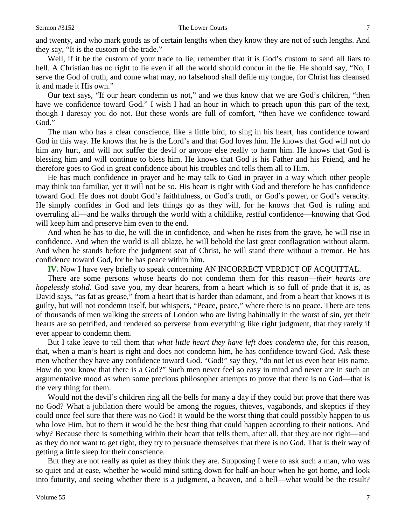and twenty, and who mark goods as of certain lengths when they know they are not of such lengths. And they say, "It is the custom of the trade."

Well, if it be the custom of your trade to lie, remember that it is God's custom to send all liars to hell. A Christian has no right to lie even if all the world should concur in the lie. He should say, "No, I serve the God of truth, and come what may, no falsehood shall defile my tongue, for Christ has cleansed it and made it His own."

Our text says, "If our heart condemn us not," and we thus know that we are God's children, "then have we confidence toward God." I wish I had an hour in which to preach upon this part of the text, though I daresay you do not. But these words are full of comfort, "then have we confidence toward God."

The man who has a clear conscience, like a little bird, to sing in his heart, has confidence toward God in this way. He knows that he is the Lord's and that God loves him. He knows that God will not do him any hurt, and will not suffer the devil or anyone else really to harm him. He knows that God is blessing him and will continue to bless him. He knows that God is his Father and his Friend, and he therefore goes to God in great confidence about his troubles and tells them all to Him.

He has much confidence in prayer and he may talk to God in prayer in a way which other people may think too familiar, yet it will not be so. His heart is right with God and therefore he has confidence toward God. He does not doubt God's faithfulness, or God's truth, or God's power, or God's veracity. He simply confides in God and lets things go as they will, for he knows that God is ruling and overruling all—and he walks through the world with a childlike, restful confidence—knowing that God will keep him and preserve him even to the end.

And when he has to die, he will die in confidence, and when he rises from the grave, he will rise in confidence. And when the world is all ablaze, he will behold the last great conflagration without alarm. And when he stands before the judgment seat of Christ, he will stand there without a tremor. He has confidence toward God, for he has peace within him.

**IV.** Now I have very briefly to speak concerning AN INCORRECT VERDICT OF ACQUITTAL.

There are some persons whose hearts do not condemn them for this reason—*their hearts are hopelessly stolid*. God save you, my dear hearers, from a heart which is so full of pride that it is, as David says, "as fat as grease," from a heart that is harder than adamant, and from a heart that knows it is guilty, but will not condemn itself, but whispers, "Peace, peace," where there is no peace. There are tens of thousands of men walking the streets of London who are living habitually in the worst of sin, yet their hearts are so petrified, and rendered so perverse from everything like right judgment, that they rarely if ever appear to condemn them.

But I take leave to tell them that *what little heart they have left does condemn the,* for this reason, that, when a man's heart is right and does not condemn him, he has confidence toward God. Ask these men whether they have any confidence toward God. "God!" say they, "do not let us even hear His name. How do you know that there is a God?" Such men never feel so easy in mind and never are in such an argumentative mood as when some precious philosopher attempts to prove that there is no God—that is the very thing for them.

Would not the devil's children ring all the bells for many a day if they could but prove that there was no God? What a jubilation there would be among the rogues, thieves, vagabonds, and skeptics if they could once feel sure that there was no God! It would be the worst thing that could possibly happen to us who love Him, but to them it would be the best thing that could happen according to their notions. And why? Because there is something within their heart that tells them, after all, that they are not right—and as they do not want to get right, they try to persuade themselves that there is no God. That is their way of getting a little sleep for their conscience.

But they are not really as quiet as they think they are. Supposing I were to ask such a man, who was so quiet and at ease, whether he would mind sitting down for half-an-hour when he got home, and look into futurity, and seeing whether there is a judgment, a heaven, and a hell—what would be the result?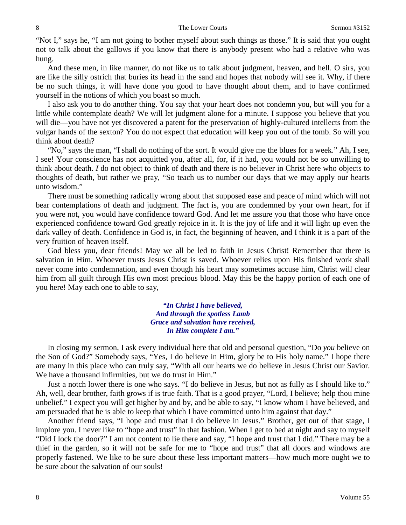"Not I," says he, "I am not going to bother myself about such things as those." It is said that you ought not to talk about the gallows if you know that there is anybody present who had a relative who was hung.

And these men, in like manner, do not like us to talk about judgment, heaven, and hell. O sirs, you are like the silly ostrich that buries its head in the sand and hopes that nobody will see it. Why, if there be no such things, it will have done you good to have thought about them, and to have confirmed yourself in the notions of which you boast so much.

I also ask you to do another thing. You say that your heart does not condemn you, but will you for a little while contemplate death? We will let judgment alone for a minute. I suppose you believe that you will die—you have not yet discovered a patent for the preservation of highly-cultured intellects from the vulgar hands of the sexton? You do not expect that education will keep you out of the tomb. So will you think about death?

"No," says the man, "I shall do nothing of the sort. It would give me the blues for a week." Ah, I see, I see! Your conscience has not acquitted you, after all, for, if it had, you would not be so unwilling to think about death. *I* do not object to think of death and there is no believer in Christ here who objects to thoughts of death, but rather we pray, "So teach us to number our days that we may apply our hearts unto wisdom."

There must be something radically wrong about that supposed ease and peace of mind which will not bear contemplations of death and judgment. The fact is, you are condemned by your own heart, for if you were not, you would have confidence toward God. And let me assure you that those who have once experienced confidence toward God greatly rejoice in it. It is the joy of life and it will light up even the dark valley of death. Confidence in God is, in fact, the beginning of heaven, and I think it is a part of the very fruition of heaven itself.

God bless you, dear friends! May we all be led to faith in Jesus Christ! Remember that there is salvation in Him. Whoever trusts Jesus Christ is saved. Whoever relies upon His finished work shall never come into condemnation, and even though his heart may sometimes accuse him, Christ will clear him from all guilt through His own most precious blood. May this be the happy portion of each one of you here! May each one to able to say,

> *"In Christ I have believed, And through the spotless Lamb Grace and salvation have received, In Him complete I am."*

In closing my sermon, I ask every individual here that old and personal question, "Do *you* believe on the Son of God?" Somebody says, "Yes, I do believe in Him, glory be to His holy name." I hope there are many in this place who can truly say, "With all our hearts we do believe in Jesus Christ our Savior. We have a thousand infirmities, but we do trust in Him."

Just a notch lower there is one who says. "I do believe in Jesus, but not as fully as I should like to." Ah, well, dear brother, faith grows if is true faith. That is a good prayer, "Lord, I believe; help thou mine unbelief." I expect you will get higher by and by, and be able to say, "I know whom I have believed, and am persuaded that he is able to keep that which I have committed unto him against that day."

Another friend says, "I hope and trust that I do believe in Jesus." Brother, get out of that stage, I implore you. I never like to "hope and trust" in that fashion. When I get to bed at night and say to myself "Did I lock the door?" I am not content to lie there and say, "I hope and trust that I did." There may be a thief in the garden, so it will not be safe for me to "hope and trust" that all doors and windows are properly fastened. We like to be sure about these less important matters—how much more ought we to be sure about the salvation of our souls!